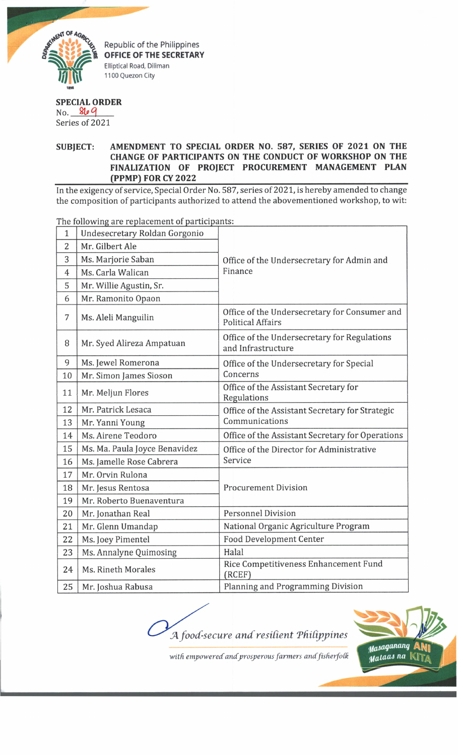

Republic of the Philippines **OFFICE OF THE SECRETARY** Elliptical Road, Diliman 1100 Quezon City

## **SPECIAL ORDER**

No. 809 Series of 2021

## **SUBJECT: AMENDMENT TO SPECIAL ORDER NO. 587, SERIES OF 2021 ON THE CHANGE OF PARTICIPANTS ON THE CONDUCT OF WORKSHOP ON THE FINALIZATION OF PROJECT PROCUREMENT MANAGEMENT PLAN \_\_\_\_\_\_\_\_\_\_\_\_\_\_\_\_ (PPMP) FOR CY 2022\_\_\_\_\_\_\_\_\_\_\_\_\_\_\_\_\_\_\_\_\_\_\_\_\_\_\_\_\_\_\_\_\_\_\_\_\_\_\_\_\_\_\_\_\_\_\_\_\_\_\_\_\_\_\_\_\_\_\_\_\_\_\_\_**

In the exigency of service, Special Order No. 587, series of 2021, is hereby amended to change the composition of participants authorized to attend the abovementioned workshop, to wit:

1 Undesecretary Roldan Gorgonio Office of the Undersecretary for Admin and Finance 2 Mr. Gilbert Ale 3 Ms. Marjorie Saban 4 Ms. Carla Walican 5 | Mr. Willie Agustin, Sr. 6 Mr. Ramonito Opaon 7 Ms. Aleli Manguilin Office of the Undersecretary for Consumer and Political Affairs  $8 \nvert$  Mr. Syed Alireza Ampatuan  $\vert$  Office of the Undersecretary for Regulations and Infrastructure 9 Ms. Jewel Romerona Office of the Undersecretary for Special 10 | Mr. Simon James Sioson | Concerns 11 Mr. Meljun Flores Office of the Assistant Secretary for Regulations 12 Mr. Patrick Lesaca **Office of the Assistant Secretary for Strategic** 13 Mr. Yanni Young Communications 14 | Ms. Airene Teodoro | Office of the Assistant Secretary for Operations 15 | Ms. Ma. Paula Joyce Benavidez | Office of the Director for Administrative 16 | Ms. Jamelle Rose Cabrera | Service 17 | Mr. Orvin Rulona 18 | Mr. Jesus Rentosa | Procurement Division 19 Mr. Roberto Buenaventura 20 Mr. Jonathan Real Personnel Division 21 | Mr. Glenn Umandap | National Organic Agriculture Program 22 | Ms. Joey Pimentel | Food Development Center 23 | Ms. Annalyne Quimosing | Halal 24 Ms. Rineth Morales Rice Competitiveness Enhancement Fund (RCEF) 25 | Mr. Joshua Rabusa | Planning and Programming Division

The following are replacement of participants:



with empowered and prosperous farmers and fisherfolk